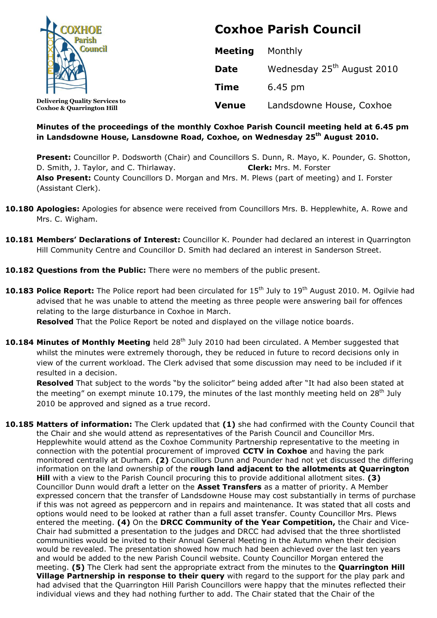| <b>DXHOE</b>                                                                  | <b>Coxhoe Parish Council</b> |                                        |
|-------------------------------------------------------------------------------|------------------------------|----------------------------------------|
|                                                                               | <b>Meeting</b>               | Monthly                                |
|                                                                               | <b>Date</b>                  | Wednesday 25 <sup>th</sup> August 2010 |
|                                                                               | <b>Time</b>                  | 6.45 pm                                |
| <b>Delivering Quality Services to</b><br><b>Coxhoe &amp; Quarrington Hill</b> | <b>Venue</b>                 | Landsdowne House, Coxhoe               |

## **Minutes of the proceedings of the monthly Coxhoe Parish Council meeting held at 6.45 pm in Landsdowne House, Lansdowne Road, Coxhoe, on Wednesday 25 th August 2010.**

**Present:** Councillor P. Dodsworth (Chair) and Councillors S. Dunn, R. Mayo, K. Pounder, G. Shotton, D. Smith, J. Taylor, and C. Thirlaway. **Clerk:** Mrs. M. Forster **Also Present:** County Councillors D. Morgan and Mrs. M. Plews (part of meeting) and I. Forster (Assistant Clerk).

- **10.180 Apologies:** Apologies for absence were received from Councillors Mrs. B. Hepplewhite, A. Rowe and Mrs. C. Wigham.
- **10.181 Members' Declarations of Interest:** Councillor K. Pounder had declared an interest in Quarrington Hill Community Centre and Councillor D. Smith had declared an interest in Sanderson Street.
- **10.182 Questions from the Public:** There were no members of the public present.
- 10.183 Police Report: The Police report had been circulated for 15<sup>th</sup> July to 19<sup>th</sup> August 2010. M. Ogilvie had advised that he was unable to attend the meeting as three people were answering bail for offences relating to the large disturbance in Coxhoe in March.

**Resolved** That the Police Report be noted and displayed on the village notice boards.

**10.184 Minutes of Monthly Meeting** held 28<sup>th</sup> July 2010 had been circulated. A Member suggested that whilst the minutes were extremely thorough, they be reduced in future to record decisions only in view of the current workload. The Clerk advised that some discussion may need to be included if it resulted in a decision.

**Resolved** That subject to the words "by the solicitor" being added after "It had also been stated at the meeting" on exempt minute 10.179, the minutes of the last monthly meeting held on  $28<sup>th</sup>$  July 2010 be approved and signed as a true record.

**10.185 Matters of information:** The Clerk updated that **(1)** she had confirmed with the County Council that the Chair and she would attend as representatives of the Parish Council and Councillor Mrs. Hepplewhite would attend as the Coxhoe Community Partnership representative to the meeting in connection with the potential procurement of improved **CCTV in Coxhoe** and having the park monitored centrally at Durham. **(2)** Councillors Dunn and Pounder had not yet discussed the differing information on the land ownership of the **rough land adjacent to the allotments at Quarrington Hill** with a view to the Parish Council procuring this to provide additional allotment sites. **(3)** Councillor Dunn would draft a letter on the **Asset Transfers** as a matter of priority. A Member expressed concern that the transfer of Landsdowne House may cost substantially in terms of purchase if this was not agreed as peppercorn and in repairs and maintenance. It was stated that all costs and options would need to be looked at rather than a full asset transfer. County Councillor Mrs. Plews entered the meeting. **(4)** On the **DRCC Community of the Year Competition,** the Chair and Vice-Chair had submitted a presentation to the judges and DRCC had advised that the three shortlisted communities would be invited to their Annual General Meeting in the Autumn when their decision would be revealed. The presentation showed how much had been achieved over the last ten years and would be added to the new Parish Council website. County Councillor Morgan entered the meeting. **(5)** The Clerk had sent the appropriate extract from the minutes to the **Quarrington Hill Village Partnership in response to their query** with regard to the support for the play park and had advised that the Quarrington Hill Parish Councillors were happy that the minutes reflected their individual views and they had nothing further to add. The Chair stated that the Chair of the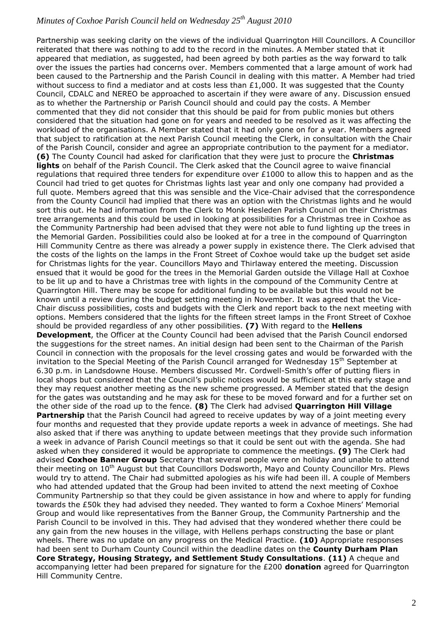Partnership was seeking clarity on the views of the individual Quarrington Hill Councillors. A Councillor reiterated that there was nothing to add to the record in the minutes. A Member stated that it appeared that mediation, as suggested, had been agreed by both parties as the way forward to talk over the issues the parties had concerns over. Members commented that a large amount of work had been caused to the Partnership and the Parish Council in dealing with this matter. A Member had tried without success to find a mediator and at costs less than  $£1,000$ . It was suggested that the County Council, CDALC and NEREO be approached to ascertain if they were aware of any. Discussion ensued as to whether the Partnership or Parish Council should and could pay the costs. A Member commented that they did not consider that this should be paid for from public monies but others considered that the situation had gone on for years and needed to be resolved as it was affecting the workload of the organisations. A Member stated that it had only gone on for a year. Members agreed that subject to ratification at the next Parish Council meeting the Clerk, in consultation with the Chair of the Parish Council, consider and agree an appropriate contribution to the payment for a mediator. **(6)** The County Council had asked for clarification that they were just to procure the **Christmas lights** on behalf of the Parish Council. The Clerk asked that the Council agree to waive financial regulations that required three tenders for expenditure over £1000 to allow this to happen and as the Council had tried to get quotes for Christmas lights last year and only one company had provided a full quote. Members agreed that this was sensible and the Vice-Chair advised that the correspondence from the County Council had implied that there was an option with the Christmas lights and he would sort this out. He had information from the Clerk to Monk Hesleden Parish Council on their Christmas tree arrangements and this could be used in looking at possibilities for a Christmas tree in Coxhoe as the Community Partnership had been advised that they were not able to fund lighting up the trees in the Memorial Garden. Possibilities could also be looked at for a tree in the compound of Quarrington Hill Community Centre as there was already a power supply in existence there. The Clerk advised that the costs of the lights on the lamps in the Front Street of Coxhoe would take up the budget set aside for Christmas lights for the year. Councillors Mayo and Thirlaway entered the meeting. Discussion ensued that it would be good for the trees in the Memorial Garden outside the Village Hall at Coxhoe to be lit up and to have a Christmas tree with lights in the compound of the Community Centre at Quarrington Hill. There may be scope for additional funding to be available but this would not be known until a review during the budget setting meeting in November. It was agreed that the Vice-Chair discuss possibilities, costs and budgets with the Clerk and report back to the next meeting with options. Members considered that the lights for the fifteen street lamps in the Front Street of Coxhoe should be provided regardless of any other possibilities. **(7)** With regard to the **Hellens Development**, the Officer at the County Council had been advised that the Parish Council endorsed the suggestions for the street names. An initial design had been sent to the Chairman of the Parish Council in connection with the proposals for the level crossing gates and would be forwarded with the invitation to the Special Meeting of the Parish Council arranged for Wednesday 15<sup>th</sup> September at 6.30 p.m. in Landsdowne House. Members discussed Mr. Cordwell-Smith's offer of putting fliers in local shops but considered that the Council's public notices would be sufficient at this early stage and they may request another meeting as the new scheme progressed. A Member stated that the design for the gates was outstanding and he may ask for these to be moved forward and for a further set on the other side of the road up to the fence. **(8)** The Clerk had advised **Quarrington Hill Village Partnership** that the Parish Council had agreed to receive updates by way of a joint meeting every four months and requested that they provide update reports a week in advance of meetings. She had also asked that if there was anything to update between meetings that they provide such information a week in advance of Parish Council meetings so that it could be sent out with the agenda. She had asked when they considered it would be appropriate to commence the meetings. **(9)** The Clerk had advised **Coxhoe Banner Group** Secretary that several people were on holiday and unable to attend their meeting on 10<sup>th</sup> August but that Councillors Dodsworth, Mayo and County Councillor Mrs. Plews would try to attend. The Chair had submitted apologies as his wife had been ill. A couple of Members who had attended updated that the Group had been invited to attend the next meeting of Coxhoe Community Partnership so that they could be given assistance in how and where to apply for funding towards the £50k they had advised they needed. They wanted to form a Coxhoe Miners' Memorial Group and would like representatives from the Banner Group, the Community Partnership and the Parish Council to be involved in this. They had advised that they wondered whether there could be any gain from the new houses in the village, with Hellens perhaps constructing the base or plant wheels. There was no update on any progress on the Medical Practice. **(10)** Appropriate responses had been sent to Durham County Council within the deadline dates on the **County Durham Plan Core Strategy, Housing Strategy, and Settlement Study Consultations**. **(11)** A cheque and accompanying letter had been prepared for signature for the £200 **donation** agreed for Quarrington Hill Community Centre.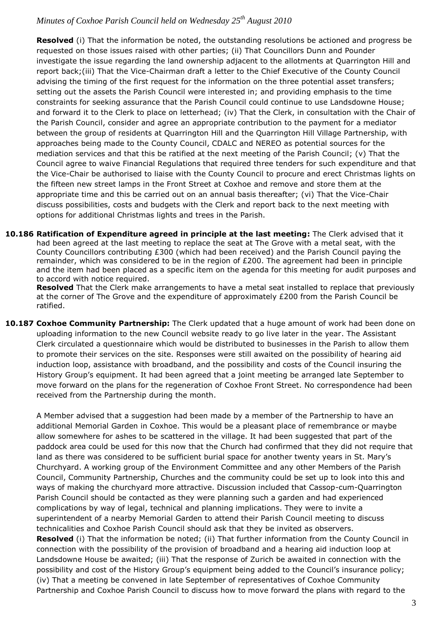**Resolved** (i) That the information be noted, the outstanding resolutions be actioned and progress be requested on those issues raised with other parties; (ii) That Councillors Dunn and Pounder investigate the issue regarding the land ownership adjacent to the allotments at Quarrington Hill and report back;(iii) That the Vice-Chairman draft a letter to the Chief Executive of the County Council advising the timing of the first request for the information on the three potential asset transfers; setting out the assets the Parish Council were interested in; and providing emphasis to the time constraints for seeking assurance that the Parish Council could continue to use Landsdowne House; and forward it to the Clerk to place on letterhead; (iv) That the Clerk, in consultation with the Chair of the Parish Council, consider and agree an appropriate contribution to the payment for a mediator between the group of residents at Quarrington Hill and the Quarrington Hill Village Partnership, with approaches being made to the County Council, CDALC and NEREO as potential sources for the mediation services and that this be ratified at the next meeting of the Parish Council; (v) That the Council agree to waive Financial Regulations that required three tenders for such expenditure and that the Vice-Chair be authorised to liaise with the County Council to procure and erect Christmas lights on the fifteen new street lamps in the Front Street at Coxhoe and remove and store them at the appropriate time and this be carried out on an annual basis thereafter; (vi) That the Vice-Chair discuss possibilities, costs and budgets with the Clerk and report back to the next meeting with options for additional Christmas lights and trees in the Parish.

**10.186 Ratification of Expenditure agreed in principle at the last meeting:** The Clerk advised that it had been agreed at the last meeting to replace the seat at The Grove with a metal seat, with the County Councillors contributing £300 (which had been received) and the Parish Council paying the remainder, which was considered to be in the region of £200. The agreement had been in principle and the item had been placed as a specific item on the agenda for this meeting for audit purposes and to accord with notice required.

**Resolved** That the Clerk make arrangements to have a metal seat installed to replace that previously at the corner of The Grove and the expenditure of approximately £200 from the Parish Council be ratified.

**10.187 Coxhoe Community Partnership:** The Clerk updated that a huge amount of work had been done on uploading information to the new Council website ready to go live later in the year. The Assistant Clerk circulated a questionnaire which would be distributed to businesses in the Parish to allow them to promote their services on the site. Responses were still awaited on the possibility of hearing aid induction loop, assistance with broadband, and the possibility and costs of the Council insuring the History Group's equipment. It had been agreed that a joint meeting be arranged late September to move forward on the plans for the regeneration of Coxhoe Front Street. No correspondence had been received from the Partnership during the month.

A Member advised that a suggestion had been made by a member of the Partnership to have an additional Memorial Garden in Coxhoe. This would be a pleasant place of remembrance or maybe allow somewhere for ashes to be scattered in the village. It had been suggested that part of the paddock area could be used for this now that the Church had confirmed that they did not require that land as there was considered to be sufficient burial space for another twenty years in St. Mary's Churchyard. A working group of the Environment Committee and any other Members of the Parish Council, Community Partnership, Churches and the community could be set up to look into this and ways of making the churchyard more attractive. Discussion included that Cassop-cum-Quarrington Parish Council should be contacted as they were planning such a garden and had experienced complications by way of legal, technical and planning implications. They were to invite a superintendent of a nearby Memorial Garden to attend their Parish Council meeting to discuss technicalities and Coxhoe Parish Council should ask that they be invited as observers. **Resolved** (i) That the information be noted; (ii) That further information from the County Council in connection with the possibility of the provision of broadband and a hearing aid induction loop at Landsdowne House be awaited; (iii) That the response of Zurich be awaited in connection with the possibility and cost of the History Group's equipment being added to the Council's insurance policy; (iv) That a meeting be convened in late September of representatives of Coxhoe Community Partnership and Coxhoe Parish Council to discuss how to move forward the plans with regard to the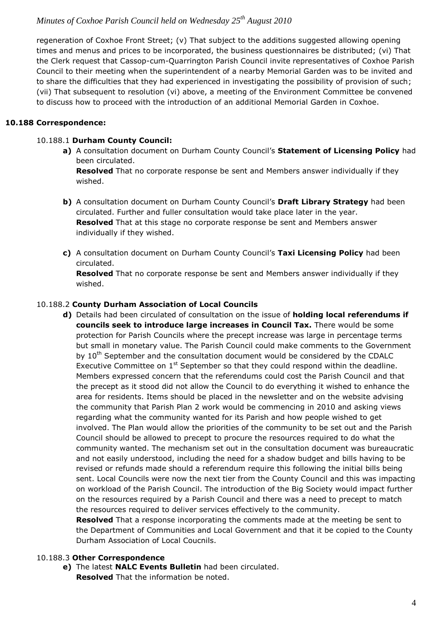regeneration of Coxhoe Front Street; (v) That subject to the additions suggested allowing opening times and menus and prices to be incorporated, the business questionnaires be distributed; (vi) That the Clerk request that Cassop-cum-Quarrington Parish Council invite representatives of Coxhoe Parish Council to their meeting when the superintendent of a nearby Memorial Garden was to be invited and to share the difficulties that they had experienced in investigating the possibility of provision of such; (vii) That subsequent to resolution (vi) above, a meeting of the Environment Committee be convened to discuss how to proceed with the introduction of an additional Memorial Garden in Coxhoe.

### **10.188 Correspondence:**

### 10.188.1 **Durham County Council:**

**a)** A consultation document on Durham County Council's **Statement of Licensing Policy** had been circulated.

**Resolved** That no corporate response be sent and Members answer individually if they wished.

- **b)** A consultation document on Durham County Council's **Draft Library Strategy** had been circulated. Further and fuller consultation would take place later in the year. **Resolved** That at this stage no corporate response be sent and Members answer individually if they wished.
- **c)** A consultation document on Durham County Council's **Taxi Licensing Policy** had been circulated.

**Resolved** That no corporate response be sent and Members answer individually if they wished.

### 10.188.2 **County Durham Association of Local Councils**

**d)** Details had been circulated of consultation on the issue of **holding local referendums if councils seek to introduce large increases in Council Tax.** There would be some protection for Parish Councils where the precept increase was large in percentage terms but small in monetary value. The Parish Council could make comments to the Government by 10<sup>th</sup> September and the consultation document would be considered by the CDALC Executive Committee on  $1<sup>st</sup>$  September so that they could respond within the deadline. Members expressed concern that the referendums could cost the Parish Council and that the precept as it stood did not allow the Council to do everything it wished to enhance the area for residents. Items should be placed in the newsletter and on the website advising the community that Parish Plan 2 work would be commencing in 2010 and asking views regarding what the community wanted for its Parish and how people wished to get involved. The Plan would allow the priorities of the community to be set out and the Parish Council should be allowed to precept to procure the resources required to do what the community wanted. The mechanism set out in the consultation document was bureaucratic and not easily understood, including the need for a shadow budget and bills having to be revised or refunds made should a referendum require this following the initial bills being sent. Local Councils were now the next tier from the County Council and this was impacting on workload of the Parish Council. The introduction of the Big Society would impact further on the resources required by a Parish Council and there was a need to precept to match the resources required to deliver services effectively to the community.

**Resolved** That a response incorporating the comments made at the meeting be sent to the Department of Communities and Local Government and that it be copied to the County Durham Association of Local Coucnils.

### 10.188.3 **Other Correspondence**

**e)** The latest **NALC Events Bulletin** had been circulated. **Resolved** That the information be noted.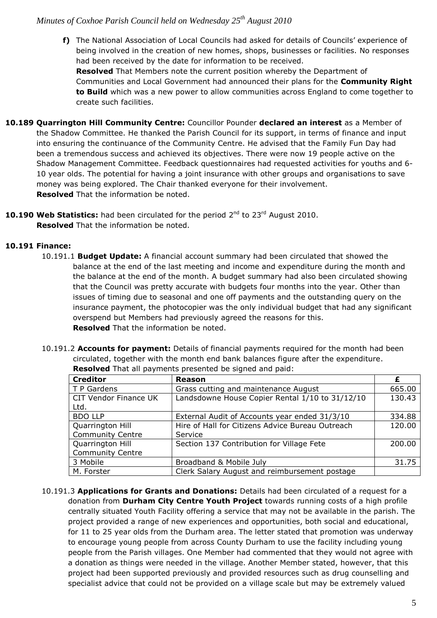**f)** The National Association of Local Councils had asked for details of Councils' experience of being involved in the creation of new homes, shops, businesses or facilities. No responses had been received by the date for information to be received.

**Resolved** That Members note the current position whereby the Department of Communities and Local Government had announced their plans for the **Community Right to Build** which was a new power to allow communities across England to come together to create such facilities.

- **10.189 Quarrington Hill Community Centre:** Councillor Pounder **declared an interest** as a Member of the Shadow Committee. He thanked the Parish Council for its support, in terms of finance and input into ensuring the continuance of the Community Centre. He advised that the Family Fun Day had been a tremendous success and achieved its objectives. There were now 19 people active on the Shadow Management Committee. Feedback questionnaires had requested activities for youths and 6- 10 year olds. The potential for having a joint insurance with other groups and organisations to save money was being explored. The Chair thanked everyone for their involvement. **Resolved** That the information be noted.
- 10.190 Web Statistics: had been circulated for the period 2<sup>nd</sup> to 23<sup>rd</sup> August 2010. **Resolved** That the information be noted.

## **10.191 Finance:**

- 10.191.1 **Budget Update:** A financial account summary had been circulated that showed the balance at the end of the last meeting and income and expenditure during the month and the balance at the end of the month. A budget summary had also been circulated showing that the Council was pretty accurate with budgets four months into the year. Other than issues of timing due to seasonal and one off payments and the outstanding query on the insurance payment, the photocopier was the only individual budget that had any significant overspend but Members had previously agreed the reasons for this. **Resolved** That the information be noted.
- 10.191.2 **Accounts for payment:** Details of financial payments required for the month had been circulated, together with the month end bank balances figure after the expenditure. **Resolved** That all payments presented be signed and paid:

| <b>Creditor</b>                      | <b>Reason</b>                                    |        |
|--------------------------------------|--------------------------------------------------|--------|
| T P Gardens                          | Grass cutting and maintenance August             | 665.00 |
| <b>CIT Vendor Finance UK</b><br>Ltd. | Landsdowne House Copier Rental 1/10 to 31/12/10  | 130.43 |
| <b>BDO LLP</b>                       | External Audit of Accounts year ended 31/3/10    | 334.88 |
| Quarrington Hill                     | Hire of Hall for Citizens Advice Bureau Outreach | 120.00 |
| <b>Community Centre</b>              | Service                                          |        |
| Quarrington Hill                     | Section 137 Contribution for Village Fete        | 200.00 |
| <b>Community Centre</b>              |                                                  |        |
| 3 Mobile                             | Broadband & Mobile July                          | 31.75  |
| M. Forster                           | Clerk Salary August and reimbursement postage    |        |

10.191.3 **Applications for Grants and Donations:** Details had been circulated of a request for a donation from **Durham City Centre Youth Project** towards running costs of a high profile centrally situated Youth Facility offering a service that may not be available in the parish. The project provided a range of new experiences and opportunities, both social and educational, for 11 to 25 year olds from the Durham area. The letter stated that promotion was underway to encourage young people from across County Durham to use the facility including young people from the Parish villages. One Member had commented that they would not agree with a donation as things were needed in the village. Another Member stated, however, that this project had been supported previously and provided resources such as drug counselling and specialist advice that could not be provided on a village scale but may be extremely valued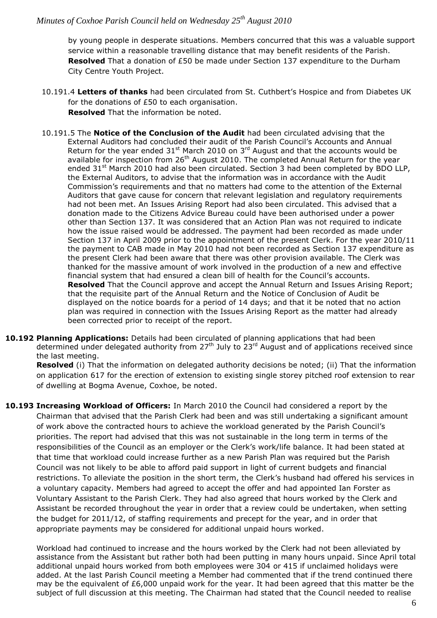by young people in desperate situations. Members concurred that this was a valuable support service within a reasonable travelling distance that may benefit residents of the Parish. **Resolved** That a donation of £50 be made under Section 137 expenditure to the Durham City Centre Youth Project.

- 10.191.4 **Letters of thanks** had been circulated from St. Cuthbert's Hospice and from Diabetes UK for the donations of £50 to each organisation. **Resolved** That the information be noted.
- 10.191.5 The **Notice of the Conclusion of the Audit** had been circulated advising that the External Auditors had concluded their audit of the Parish Council's Accounts and Annual Return for the year ended  $31<sup>st</sup>$  March 2010 on  $3<sup>rd</sup>$  August and that the accounts would be available for inspection from  $26<sup>th</sup>$  August 2010. The completed Annual Return for the year ended 31<sup>st</sup> March 2010 had also been circulated. Section 3 had been completed by BDO LLP, the External Auditors, to advise that the information was in accordance with the Audit Commission's requirements and that no matters had come to the attention of the External Auditors that gave cause for concern that relevant legislation and regulatory requirements had not been met. An Issues Arising Report had also been circulated. This advised that a donation made to the Citizens Advice Bureau could have been authorised under a power other than Section 137. It was considered that an Action Plan was not required to indicate how the issue raised would be addressed. The payment had been recorded as made under Section 137 in April 2009 prior to the appointment of the present Clerk. For the year 2010/11 the payment to CAB made in May 2010 had not been recorded as Section 137 expenditure as the present Clerk had been aware that there was other provision available. The Clerk was thanked for the massive amount of work involved in the production of a new and effective financial system that had ensured a clean bill of health for the Council's accounts. **Resolved** That the Council approve and accept the Annual Return and Issues Arising Report; that the requisite part of the Annual Return and the Notice of Conclusion of Audit be displayed on the notice boards for a period of 14 days; and that it be noted that no action plan was required in connection with the Issues Arising Report as the matter had already been corrected prior to receipt of the report.
- **10.192 Planning Applications:** Details had been circulated of planning applications that had been determined under delegated authority from  $27<sup>th</sup>$  July to  $23<sup>rd</sup>$  August and of applications received since the last meeting.

**Resolved** (i) That the information on delegated authority decisions be noted; (ii) That the information on application 617 for the erection of extension to existing single storey pitched roof extension to rear of dwelling at Bogma Avenue, Coxhoe, be noted.

**10.193 Increasing Workload of Officers:** In March 2010 the Council had considered a report by the Chairman that advised that the Parish Clerk had been and was still undertaking a significant amount of work above the contracted hours to achieve the workload generated by the Parish Council's priorities. The report had advised that this was not sustainable in the long term in terms of the responsibilities of the Council as an employer or the Clerk's work/life balance. It had been stated at that time that workload could increase further as a new Parish Plan was required but the Parish Council was not likely to be able to afford paid support in light of current budgets and financial restrictions. To alleviate the position in the short term, the Clerk's husband had offered his services in a voluntary capacity. Members had agreed to accept the offer and had appointed Ian Forster as Voluntary Assistant to the Parish Clerk. They had also agreed that hours worked by the Clerk and Assistant be recorded throughout the year in order that a review could be undertaken, when setting the budget for 2011/12, of staffing requirements and precept for the year, and in order that appropriate payments may be considered for additional unpaid hours worked.

Workload had continued to increase and the hours worked by the Clerk had not been alleviated by assistance from the Assistant but rather both had been putting in many hours unpaid. Since April total additional unpaid hours worked from both employees were 304 or 415 if unclaimed holidays were added. At the last Parish Council meeting a Member had commented that if the trend continued there may be the equivalent of £6,000 unpaid work for the year. It had been agreed that this matter be the subject of full discussion at this meeting. The Chairman had stated that the Council needed to realise